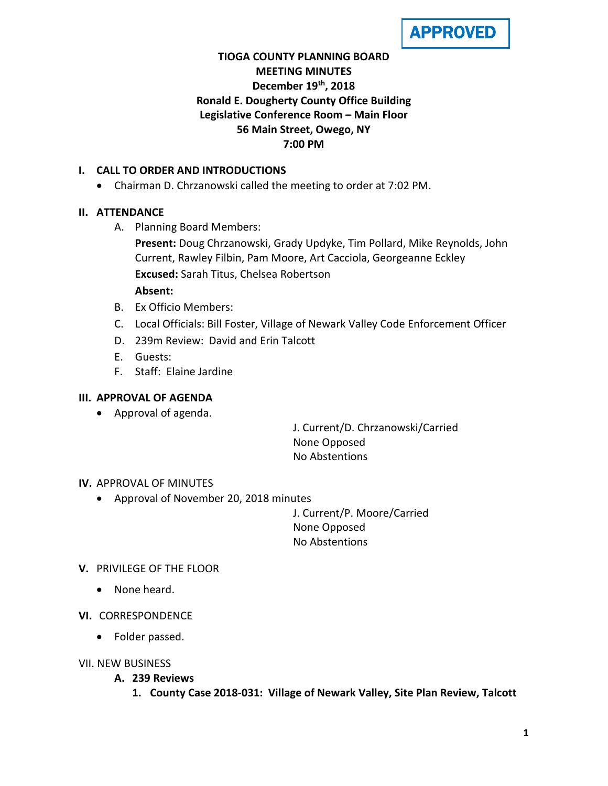

# **TIOGA COUNTY PLANNING BOARD MEETING MINUTES December 19th, 2018 Ronald E. Dougherty County Office Building Legislative Conference Room – Main Floor 56 Main Street, Owego, NY 7:00 PM**

## **I. CALL TO ORDER AND INTRODUCTIONS**

• Chairman D. Chrzanowski called the meeting to order at 7:02 PM.

#### **II. ATTENDANCE**

A. Planning Board Members:

**Present:** Doug Chrzanowski, Grady Updyke, Tim Pollard, Mike Reynolds, John Current, Rawley Filbin, Pam Moore, Art Cacciola, Georgeanne Eckley **Excused:** Sarah Titus, Chelsea Robertson

#### **Absent:**

- B. Ex Officio Members:
- C. Local Officials: Bill Foster, Village of Newark Valley Code Enforcement Officer
- D. 239m Review: David and Erin Talcott
- E. Guests:
- F. Staff: Elaine Jardine

#### **III. APPROVAL OF AGENDA**

• Approval of agenda.

J. Current/D. Chrzanowski/Carried None Opposed No Abstentions

#### **IV.** APPROVAL OF MINUTES

• Approval of November 20, 2018 minutes

J. Current/P. Moore/Carried None Opposed No Abstentions

#### **V.** PRIVILEGE OF THE FLOOR

- None heard.
- **VI.** CORRESPONDENCE
	- Folder passed.
- VII. NEW BUSINESS
	- **A. 239 Reviews**
		- **1. County Case 2018-031: Village of Newark Valley, Site Plan Review, Talcott**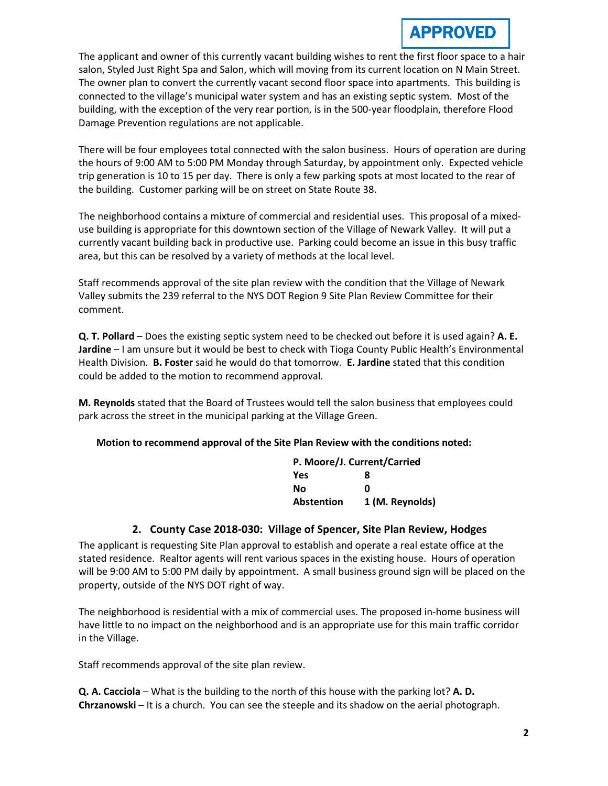# **APPROVED**

The applicant and owner of this currently vacant building wishes to rent the first floor space to a hair salon, Styled Just Right Spa and Salon, which will moving from its current location on N Main Street. The owner plan to convert the currently vacant second floor space into apartments. This building is connected to the village's municipal water system and has an existing septic system. Most of the building, with the exception of the very rear portion, is in the 500-year floodplain, therefore Flood Damage Prevention regulations are not applicable.

There will be four employees total connected with the salon business. Hours of operation are during the hours of 9:00 AM to 5:00 PM Monday through Saturday, by appointment only. Expected vehicle trip generation is 10 to 15 per day. There is only a few parking spots at most located to the rear of the building. Customer parking will be on street on State Route 38.

The neighborhood contains a mixture of commercial and residential uses. This proposal of a mixeduse building is appropriate for this downtown section of the Village of Newark Valley. It will put a currently vacant building back in productive use. Parking could become an issue in this busy traffic area, but this can be resolved by a variety of methods at the local level.

Staff recommends approval of the site plan review with the condition that the Village of Newark Valley submits the 239 referral to the NYS DOT Region 9 Site Plan Review Committee for their comment.

**Q. T. Pollard** – Does the existing septic system need to be checked out before it is used again? **A. E. Jardine** – I am unsure but it would be best to check with Tioga County Public Health's Environmental Health Division. **B. Foster** said he would do that tomorrow. **E. Jardine** stated that this condition could be added to the motion to recommend approval.

**M. Reynolds** stated that the Board of Trustees would tell the salon business that employees could park across the street in the municipal parking at the Village Green.

## **Motion to recommend approval of the Site Plan Review with the conditions noted:**

| P. Moore/J. Current/Carried |                 |
|-----------------------------|-----------------|
| <b>Yes</b>                  | 8               |
| No                          | O               |
| <b>Abstention</b>           | 1 (M. Reynolds) |

## **2. County Case 2018-030: Village of Spencer, Site Plan Review, Hodges**

The applicant is requesting Site Plan approval to establish and operate a real estate office at the stated residence. Realtor agents will rent various spaces in the existing house. Hours of operation will be 9:00 AM to 5:00 PM daily by appointment. A small business ground sign will be placed on the property, outside of the NYS DOT right of way.

The neighborhood is residential with a mix of commercial uses. The proposed in-home business will have little to no impact on the neighborhood and is an appropriate use for this main traffic corridor in the Village.

Staff recommends approval of the site plan review.

**Q. A. Cacciola** – What is the building to the north of this house with the parking lot? **A. D. Chrzanowski** – It is a church. You can see the steeple and its shadow on the aerial photograph.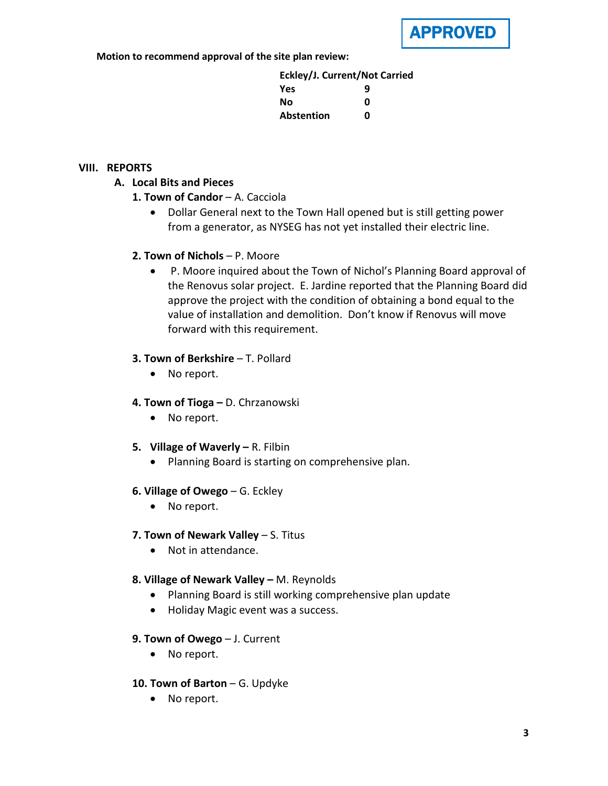

**Motion to recommend approval of the site plan review:**

**Eckley/J. Current/Not Carried Yes 9 No 0 Abstention 0**

## **VIII. REPORTS**

## **A. Local Bits and Pieces**

- **1. Town of Candor** A. Cacciola
	- Dollar General next to the Town Hall opened but is still getting power from a generator, as NYSEG has not yet installed their electric line.

## **2. Town of Nichols** – P. Moore

• P. Moore inquired about the Town of Nichol's Planning Board approval of the Renovus solar project. E. Jardine reported that the Planning Board did approve the project with the condition of obtaining a bond equal to the value of installation and demolition. Don't know if Renovus will move forward with this requirement.

## **3. Town of Berkshire** – T. Pollard

• No report.

## **4. Town of Tioga –** D. Chrzanowski

- No report.
- **5. Village of Waverly –** R. Filbin
	- Planning Board is starting on comprehensive plan.
- **6. Village of Owego** G. Eckley
	- No report.

## **7. Town of Newark Valley** – S. Titus

• Not in attendance.

## **8. Village of Newark Valley –** M. Reynolds

- Planning Board is still working comprehensive plan update
- Holiday Magic event was a success.
- **9. Town of Owego** J. Current
	- No report.
- **10. Town of Barton** G. Updyke
	- No report.